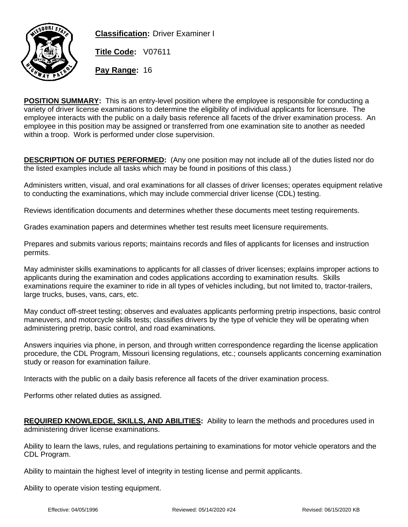

**Classification:** Driver Examiner I

**Title Code:** V07611

**Pay Range:** 16

**POSITION SUMMARY:** This is an entry-level position where the employee is responsible for conducting a variety of driver license examinations to determine the eligibility of individual applicants for licensure. The employee interacts with the public on a daily basis reference all facets of the driver examination process. An employee in this position may be assigned or transferred from one examination site to another as needed within a troop. Work is performed under close supervision.

**DESCRIPTION OF DUTIES PERFORMED:** (Any one position may not include all of the duties listed nor do the listed examples include all tasks which may be found in positions of this class.)

Administers written, visual, and oral examinations for all classes of driver licenses; operates equipment relative to conducting the examinations, which may include commercial driver license (CDL) testing.

Reviews identification documents and determines whether these documents meet testing requirements.

Grades examination papers and determines whether test results meet licensure requirements.

Prepares and submits various reports; maintains records and files of applicants for licenses and instruction permits.

May administer skills examinations to applicants for all classes of driver licenses; explains improper actions to applicants during the examination and codes applications according to examination results. Skills examinations require the examiner to ride in all types of vehicles including, but not limited to, tractor-trailers, large trucks, buses, vans, cars, etc.

May conduct off-street testing; observes and evaluates applicants performing pretrip inspections, basic control maneuvers, and motorcycle skills tests; classifies drivers by the type of vehicle they will be operating when administering pretrip, basic control, and road examinations.

Answers inquiries via phone, in person, and through written correspondence regarding the license application procedure, the CDL Program, Missouri licensing regulations, etc.; counsels applicants concerning examination study or reason for examination failure.

Interacts with the public on a daily basis reference all facets of the driver examination process.

Performs other related duties as assigned.

**REQUIRED KNOWLEDGE, SKILLS, AND ABILITIES:** Ability to learn the methods and procedures used in administering driver license examinations.

Ability to learn the laws, rules, and regulations pertaining to examinations for motor vehicle operators and the CDL Program.

Ability to maintain the highest level of integrity in testing license and permit applicants.

Ability to operate vision testing equipment.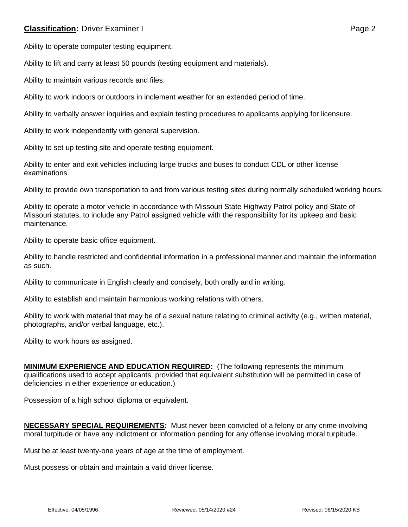## **Classification:** Driver Examiner I **Classification:** Page 2

Ability to operate computer testing equipment.

Ability to lift and carry at least 50 pounds (testing equipment and materials).

Ability to maintain various records and files.

Ability to work indoors or outdoors in inclement weather for an extended period of time.

Ability to verbally answer inquiries and explain testing procedures to applicants applying for licensure.

Ability to work independently with general supervision.

Ability to set up testing site and operate testing equipment.

Ability to enter and exit vehicles including large trucks and buses to conduct CDL or other license examinations.

Ability to provide own transportation to and from various testing sites during normally scheduled working hours.

Ability to operate a motor vehicle in accordance with Missouri State Highway Patrol policy and State of Missouri statutes, to include any Patrol assigned vehicle with the responsibility for its upkeep and basic maintenance.

Ability to operate basic office equipment.

Ability to handle restricted and confidential information in a professional manner and maintain the information as such.

Ability to communicate in English clearly and concisely, both orally and in writing.

Ability to establish and maintain harmonious working relations with others.

Ability to work with material that may be of a sexual nature relating to criminal activity (e.g., written material, photographs, and/or verbal language, etc.).

Ability to work hours as assigned.

**MINIMUM EXPERIENCE AND EDUCATION REQUIRED:** (The following represents the minimum qualifications used to accept applicants, provided that equivalent substitution will be permitted in case of deficiencies in either experience or education.)

Possession of a high school diploma or equivalent.

**NECESSARY SPECIAL REQUIREMENTS:** Must never been convicted of a felony or any crime involving moral turpitude or have any indictment or information pending for any offense involving moral turpitude.

Must be at least twenty-one years of age at the time of employment.

Must possess or obtain and maintain a valid driver license.